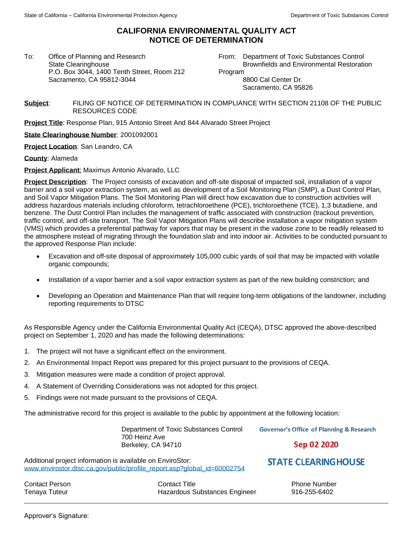## **CALIFORNIA ENVIRONMENTAL QUALITY ACT NOTICE OF DETERMINATION**

To: Office of Planning and Research State Clearinghouse P.O. Box 3044, 1400 Tenth Street, Room 212 Sacramento, CA 95812-3044

From: Department of Toxic Substances Control Brownfields and Environmental Restoration

Program

8800 Cal Center Dr. Sacramento, CA 95826

**Subject**: FILING OF NOTICE OF DETERMINATION IN COMPLIANCE WITH SECTION 21108 OF THE PUBLIC RESOURCES CODE

**Project Title**: Response Plan, 915 Antonio Street And 844 Alvarado Street Project

**State Clearinghouse Number**: 2001092001

**Project Location**: San Leandro, CA

**County**: Alameda

**Project Applicant**: Maximus Antonio Alvarado, LLC

**Project Description**: The Project consists of excavation and off-site disposal of impacted soil, installation of a vapor barrier and a soil vapor extraction system, as well as development of a Soil Monitoring Plan (SMP), a Dust Control Plan, and Soil Vapor Mitigation Plans. The Soil Monitoring Plan will direct how excavation due to construction activities will address hazardous materials including chloroform, tetrachloroethene (PCE), trichloroethene (TCE), 1,3 butadiene, and benzene. The Dust Control Plan includes the management of traffic associated with construction (trackout prevention, traffic control, and off-site transport. The Soil Vapor Mitigation Plans will describe installation a vapor mitigation system (VMS) which provides a preferential pathway for vapors that may be present in the vadose zone to be readily released to the atmosphere instead of migrating through the foundation slab and into indoor air. Activities to be conducted pursuant to the approved Response Plan include:

- Excavation and off-site disposal of approximately 105,000 cubic yards of soil that may be impacted with volatile organic compounds;
- Installation of a vapor barrier and a soil vapor extraction system as part of the new building constriction; and
- Developing an Operation and Maintenance Plan that will require long-term obligations of the landowner, including reporting requirements to DTSC

As Responsible Agency under the California Environmental Quality Act (CEQA), DTSC approved the above-described project on September 1, 2020 and has made the following determinations:

- 1. The project will not have a significant effect on the environment.
- 2. An Environmental Impact Report was prepared for this project pursuant to the provisions of CEQA.
- 3. Mitigation measures were made a condition of project approval.
- 4. A Statement of Overriding Considerations was not adopted for this project.
- 5. Findings were not made pursuant to the provisions of CEQA.

The administrative record for this project is available to the public by appointment at the following location:

Department of Toxic Substances Control 700 Heinz Ave Berkeley, CA 94710

**Governor's Office of Planning & Research** 

Sep 02 2020

**STATE CLEARING HOUSE** 

Additional project information is available on EnviroStor: [www.envirostor.dtsc.ca.gov/public/profile\\_report.asp?global\\_id=60002754](http://www.envirostor.dtsc.ca.gov/public/profile_report.asp?global_id=60002754)

Contact Person Tenaya Tuteur

Contact Title Hazardous Substances Engineer

Phone Number 916-255-6402